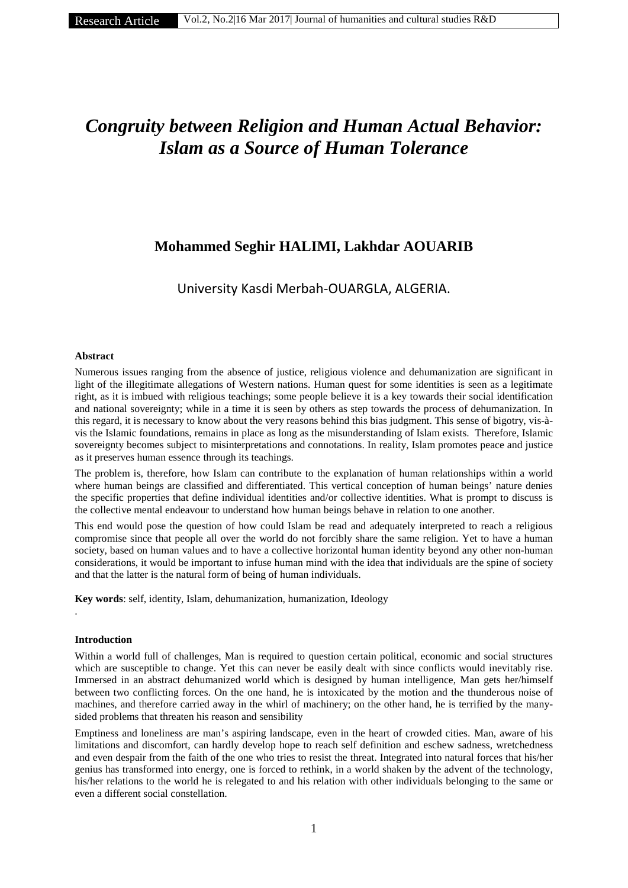# *Congruity between Religion and Human Actual Behavior: Islam as a Source of Human Tolerance*

# **Mohammed Seghir HALIMI, Lakhdar AOUARIB**

University Kasdi Merbah-OUARGLA, ALGERIA.

# **Abstract**

Numerous issues ranging from the absence of justice, religious violence and dehumanization are significant in light of the illegitimate allegations of Western nations. Human quest for some identities is seen as a legitimate right, as it is imbued with religious teachings; some people believe it is a key towards their social identification and national sovereignty; while in a time it is seen by others as step towards the process of dehumanization. In this regard, it is necessary to know about the very reasons behind this bias judgment. This sense of bigotry, vis-à vis the Islamic foundations, remains in place as long as the misunderstanding of Islam exists. Therefore, Islamic sovereignty becomes subject to misinterpretations and connotations. In reality, Islam promotes peace and justice as it preserves human essence through its teachings.

The problem is, therefore, how Islam can contribute to the explanation of human relationships within a world where human beings are classified and differentiated. This vertical conception of human beings' nature denies the specific properties that define individual identities and/or collective identities. What is prompt to discuss is the collective mental endeavour to understand how human beings behave in relation to one another.

This end would pose the question of how could Islam be read and adequately interpreted to reach a religious compromise since that people all over the world do not forcibly share the same religion. Yet to have a human society, based on human values and to have a collective horizontal human identity beyond any other non-human considerations, it would be important to infuse human mind with the idea that individuals are the spine of society and that the latter is the natural form of being of human individuals.

**Key words**: self, identity, Islam, dehumanization, humanization, Ideology

# **Introduction**

.

Within a world full of challenges, Man is required to question certain political, economic and social structures which are susceptible to change. Yet this can never be easily dealt with since conflicts would inevitably rise. Immersed in an abstract dehumanized world which is designed by human intelligence, Man gets her/himself between two conflicting forces. On the one hand, he is intoxicated by the motion and the thunderous noise of machines, and therefore carried away in the whirl of machinery; on the other hand, he is terrified by the many sided problems that threaten his reason and sensibility

Emptiness and loneliness are man's aspiring landscape, even in the heart of crowded cities. Man, aware of his limitations and discomfort, can hardly develop hope to reach self definition and eschew sadness, wretchedness and even despair from the faith of the one who tries to resist the threat. Integrated into natural forces that his/her genius has transformed into energy, one is forced to rethink, in a world shaken by the advent of the technology, his/her relations to the world he is relegated to and his relation with other individuals belonging to the same or even a different social constellation.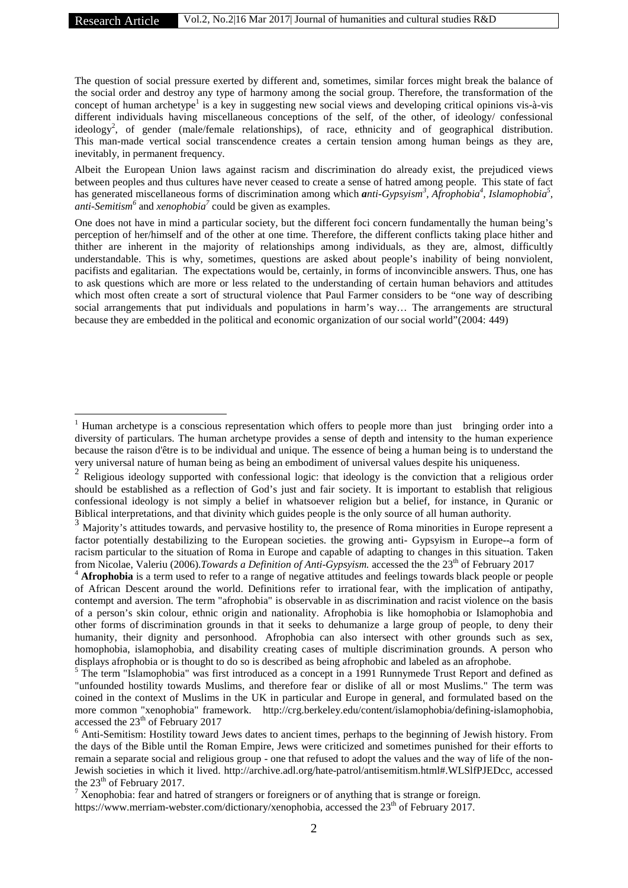The question of social pressure exerted by different and, sometimes, similar forces might break the balance of the social order and destroy any type of harmony among the social group. Therefore, the transformation of the concept of human archetype<sup>1</sup> is a key in suggesting new social views and developing critical opinions vis-à-vis different individuals having miscellaneous conceptions of the self, of the other, of ideology/ confessional ideology<sup>2</sup>, of gender (male/female relationships), of race, ethnicity and of geographical distribution. This man-made vertical social transcendence creates a certain tension among human beings as they are, inevitably, in permanent frequency.

Albeit the European Union laws against racism and discrimination do already exist, the prejudiced views between peoples and thus cultures have never ceased to create a sense of hatred among people. This state of fact has generated miscellaneous forms of discrimination among which *anti-Gypsyism<sup>3</sup>*, Afrophobia<sup>4</sup>, Islamophobia<sup>5</sup>, *anti-Semitism<sup>6</sup>* and *xenophobia<sup>7</sup>* could be given as examples.

One does not have in mind a particular society, but the different foci concern fundamentally the human being's perception of her/himself and of the other at one time. Therefore, the different conflicts taking place hither and thither are inherent in the majority of relationships among individuals, as they are, almost, difficultly understandable. This is why, sometimes, questions are asked about people's inability of being nonviolent, pacifists and egalitarian. The expectations would be, certainly, in forms of inconvincible answers. Thus, one has to ask questions which are more or less related to the understanding of certain human behaviors and attitudes which most often create a sort of structural violence that Paul Farmer considers to be "one way of describing social arrangements that put individuals and populations in harm's way… The arrangements are structural because they are embedded in the political and economic organization of our social world"(2004: 449)

<sup>&</sup>lt;sup>1</sup> Human archetype is a conscious representation which offers to people more than just bringing order into a diversity of particulars. The human archetype provides a sense of depth and intensity to the human experience because the raison d'être is to be individual and unique. The essence of being a human being is to understand the very universal nature of human being as being an embodiment of universal values despite his uniqueness.<br><sup>2</sup> Religious ideology supported with confessional logic: that ideology is the conviction that a religious order

should be established as a reflection of God's just and fair society. It is important to establish that religious confessional ideology is not simply a belief in whatsoever religion but a belief, for instance, in Quranic or

Biblical interpretations, and that divinity which guides people is the only source of all human authority.<br><sup>3</sup> Majority's attitudes towards, and pervasive hostility to, the presence of Roma minorities in Europe represent a factor potentially destabilizing to the European societies. the growing anti- Gypsyism in Europe--a form of racism particular to the situation of Roma in Europe and capable of adapting to changes in this situation. Taken from Nicolae, Valeriu (2006).*Towards a Definition of Anti-Gypsyism*. accessed the the 23<sup>th</sup> of February 2017

<sup>&</sup>lt;sup>4</sup> **Afrophobia** is a term used to refer to a range of negative attitudes and feelings towards black people or people of African Descent around the world. Definitions refer to irrational fear, with the implication of antipathy, contempt and aversion. The term "afrophobia" is observable in as discrimination and racist violence on the basis of a person's skin colour, ethnic origin and nationality. Afrophobia is like homophobia or Islamophobia and other forms of discrimination grounds in that it seeks to dehumanize a large group of people, to deny their humanity, their dignity and personhood. Afrophobia can also intersect with other grounds such as sex, homophobia, islamophobia, and disability creating cases of multiple discrimination grounds. A person who displays afrophobia or is thought to do so is described as being afrophobic and labeled as an afrophobe.<br><sup>5</sup> The term "Islamophobia" was first introduced as a concept in a 1991 Runnymede Trust Report and defined as

<sup>&</sup>quot;unfounded hostility towards Muslims, and therefore fear or dislike of all or most Muslims." The term was coined in the context of Muslims in the UK in particular and Europe in general, and formulated based on the more common "xenophobia" framework. http://crg.berkeley.edu/content/islamophobia/defining-islamophobia, accessed the  $23<sup>th</sup>$  of February 2017

<sup>6</sup> Anti-Semitism: Hostility toward Jews dates to ancient times, perhaps to the beginning of Jewish history. From the days of the Bible until the Roman Empire, Jews were criticized and sometimes punished for their efforts to remain a separate social and religious group - one that refused to adopt the values and the way of life of the non- Jewish societies in which it lived. http://archive.adl.org/hate-patrol/antisemitism.html#.WLSlfPJEDcc, accessed the 23<sup>th</sup> of February 2017.

<sup>&</sup>lt;sup>7</sup> Xenophobia: fear and hatred of strangers or foreigners or of anything that is strange or foreign. https://www.merriam-webster.com/dictionary/xenophobia, accessed the  $23<sup>th</sup>$  of February 2017.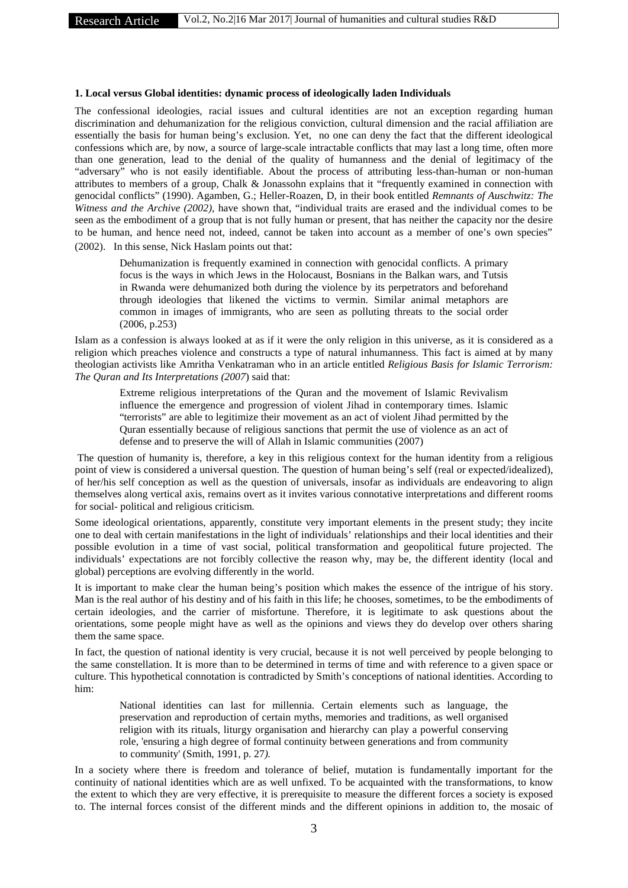#### **1. Local versus Global identities: dynamic process of ideologically laden Individuals**

The confessional ideologies, racial issues and cultural identities are not an exception regarding human discrimination and dehumanization for the religious conviction, cultural dimension and the racial affiliation are essentially the basis for human being's exclusion. Yet, no one can deny the fact that the different ideological confessions which are, by now, a source of large-scale intractable conflicts that may last a long time, often more than one generation, lead to the denial of the quality of humanness and the denial of legitimacy of the "adversary" who is not easily identifiable. About the process of attributing less-than-human or non-human attributes to members of a group, Chalk & Jonassohn explains that it "frequently examined in connection with genocidal conflicts" (1990). Agamben, G.; Heller-Roazen, D, in their book entitled *Remnants of Auschwitz: The Witness and the Archive (2002),* have shown that, "individual traits are erased and the individual comes to be seen as the embodiment of a group that is not fully human or present, that has neither the capacity nor the desire to be human, and hence need not, indeed, cannot be taken into account as a member of one's own species" (2002). In this sense, Nick Haslam points out that:

Dehumanization is frequently examined in connection with genocidal conflicts. A primary focus is the ways in which Jews in the Holocaust, Bosnians in the Balkan wars, and Tutsis in Rwanda were dehumanized both during the violence by its perpetrators and beforehand through ideologies that likened the victims to vermin. Similar animal metaphors are common in images of immigrants, who are seen as polluting threats to the social order (2006, p.253)

Islam as a confession is always looked at as if it were the only religion in this universe, as it is considered as a religion which preaches violence and constructs a type of natural inhumanness. This fact is aimed at by many theologian activists like Amritha Venkatraman who in an article entitled *Religious Basis for Islamic Terrorism: The Quran and Its Interpretations (2007*) said that:

Extreme religious interpretations of the Quran and the movement of Islamic Revivalism influence the emergence and progression of violent Jihad in contemporary times. Islamic "terrorists" are able to legitimize their movement as an act of violent Jihad permitted by the Quran essentially because of religious sanctions that permit the use of violence as an act of defense and to preserve the will of Allah in Islamic communities (2007)

The question of humanity is, therefore, a key in this religious context for the human identity from a religious point of view is considered a universal question. The question of human being's self (real or expected/idealized), of her/his self conception as well as the question of universals, insofar as individuals are endeavoring to align themselves along vertical axis, remains overt as it invites various connotative interpretations and different rooms for social- political and religious criticism.

Some ideological orientations, apparently, constitute very important elements in the present study; they incite one to deal with certain manifestations in the light of individuals' relationships and their local identities and their possible evolution in a time of vast social, political transformation and geopolitical future projected. The individuals' expectations are not forcibly collective the reason why, may be, the different identity (local and global) perceptions are evolving differently in the world.

It is important to make clear the human being's position which makes the essence of the intrigue of his story. Man is the real author of his destiny and of his faith in this life; he chooses, sometimes, to be the embodiments of certain ideologies, and the carrier of misfortune. Therefore, it is legitimate to ask questions about the orientations, some people might have as well as the opinions and views they do develop over others sharing them the same space.

In fact, the question of national identity is very crucial, because it is not well perceived by people belonging to the same constellation. It is more than to be determined in terms of time and with reference to a given space or culture. This hypothetical connotation is contradicted by Smith's conceptions of national identities. According to him:

National identities can last for millennia. Certain elements such as language, the preservation and reproduction of certain myths, memories and traditions, as well organised religion with its rituals, liturgy organisation and hierarchy can play a powerful conserving role, 'ensuring a high degree of formal continuity between generations and from community to community' (Smith, 1991, p. 27*).*

In a society where there is freedom and tolerance of belief, mutation is fundamentally important for the continuity of national identities which are as well unfixed. To be acquainted with the transformations, to know the extent to which they are very effective, it is prerequisite to measure the different forces a society is exposed to. The internal forces consist of the different minds and the different opinions in addition to, the mosaic of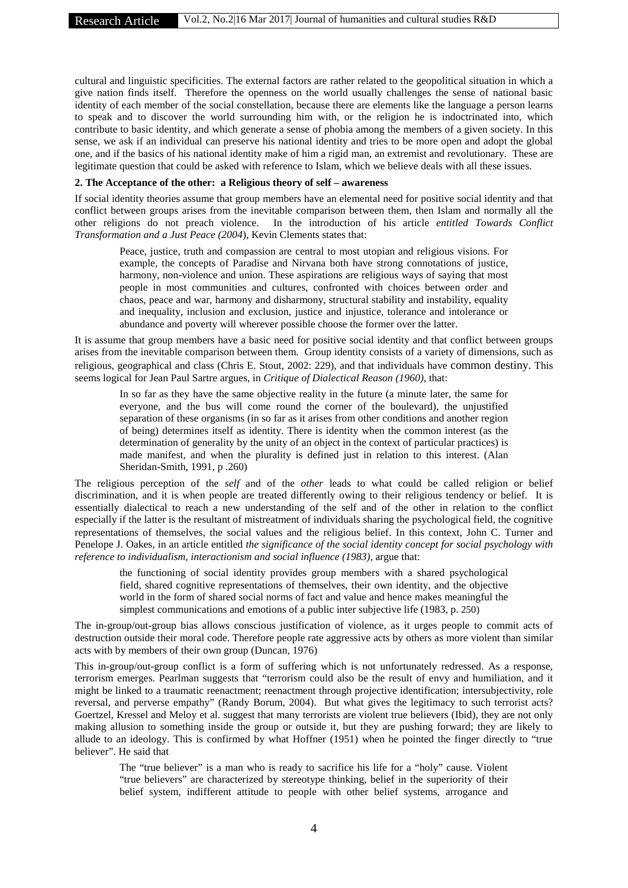cultural and linguistic specificities. The external factors are rather related to the geopolitical situation in which a give nation finds itself. Therefore the openness on the world usually challenges the sense of national basic identity of each member of the social constellation, because there are elements like the language a person learns to speak and to discover the world surrounding him with, or the religion he is indoctrinated into, which contribute to basic identity, and which generate a sense of phobia among the members of a given society. In this sense, we ask if an individual can preserve his national identity and tries to be more open and adopt the global one, and if the basics of his national identity make of him a rigid man, an extremist and revolutionary. These are legitimate question that could be asked with reference to Islam, which we believe deals with all these issues.

#### **2. The Acceptance of the other: a Religious theory of self – awareness**

If social identity theories assume that group members have an elemental need for positive social identity and that conflict between groups arises from the inevitable comparison between them, then Islam and normally all the other religions do not preach violence. In the introduction of his article *entitled Towards Conflict Transformation and a Just Peace (2004*), Kevin Clements states that:

Peace, justice, truth and compassion are central to most utopian and religious visions. For example, the concepts of Paradise and Nirvana both have strong connotations of justice, harmony, non-violence and union. These aspirations are religious ways of saying that most people in most communities and cultures, confronted with choices between order and chaos, peace and war, harmony and disharmony, structural stability and instability, equality and inequality, inclusion and exclusion, justice and injustice, tolerance and intolerance or abundance and poverty will wherever possible choose the former over the latter.

It is assume that group members have a basic need for positive social identity and that conflict between groups arises from the inevitable comparison between them. Group identity consists of a variety of dimensions, such as religious, geographical and class (Chris E. Stout, 2002: 229), and that individuals have common destiny. This seems logical for Jean Paul Sartre argues, in *Critique of Dialectical Reason (1960),* that:

In so far as they have the same objective reality in the future (a minute later, the same for everyone, and the bus will come round the corner of the boulevard), the unjustified separation of these organisms (in so far as it arises from other conditions and another region of being) determines itself as identity. There is identity when the common interest (as the determination of generality by the unity of an object in the context of particular practices) is made manifest, and when the plurality is defined just in relation to this interest. (Alan Sheridan-Smith, 1991, p .260)

The religious perception of the *self* and of the *other* leads to what could be called religion or belief discrimination, and it is when people are treated differently owing to their religious tendency or belief. It is essentially dialectical to reach a new understanding of the self and of the other in relation to the conflict especially if the latter is the resultant of mistreatment of individuals sharing the psychological field, the cognitive representations of themselves, the social values and the religious belief. In this context, John C. Turner and Penelope J. Oakes, in an article entitled *the significance of the social identity concept for social psychology with reference to individualism, interactionism and social influence (1983),* argue that:

the functioning of social identity provides group members with a shared psychological field, shared cognitive representations of themselves, their own identity, and the objective world in the form of shared social norms of fact and value and hence makes meaningful the simplest communications and emotions of a public inter subjective life (1983, p. 250)

The in-group/out-group bias allows conscious justification of violence, as it urges people to commit acts of destruction outside their moral code. Therefore people rate aggressive acts by others as more violent than similar acts with by members of their own group (Duncan, 1976)

This in-group/out-group conflict is a form of suffering which is not unfortunately redressed. As a response, terrorism emerges. Pearlman suggests that "terrorism could also be the result of envy and humiliation, and it might be linked to a traumatic reenactment; reenactment through projective identification; intersubjectivity, role reversal, and perverse empathy" (Randy Borum, 2004). But what gives the legitimacy to such terrorist acts? Goertzel, Kressel and Meloy et al. suggest that many terrorists are violent true believers (Ibid), they are not only making allusion to something inside the group or outside it, but they are pushing forward; they are likely to allude to an ideology. This is confirmed by what Hoffner (1951) when he pointed the finger directly to "true believer". He said that

The "true believer" is a man who is ready to sacrifice his life for a "holy" cause. Violent "true believers" are characterized by stereotype thinking, belief in the superiority of their belief system, indifferent attitude to people with other belief systems, arrogance and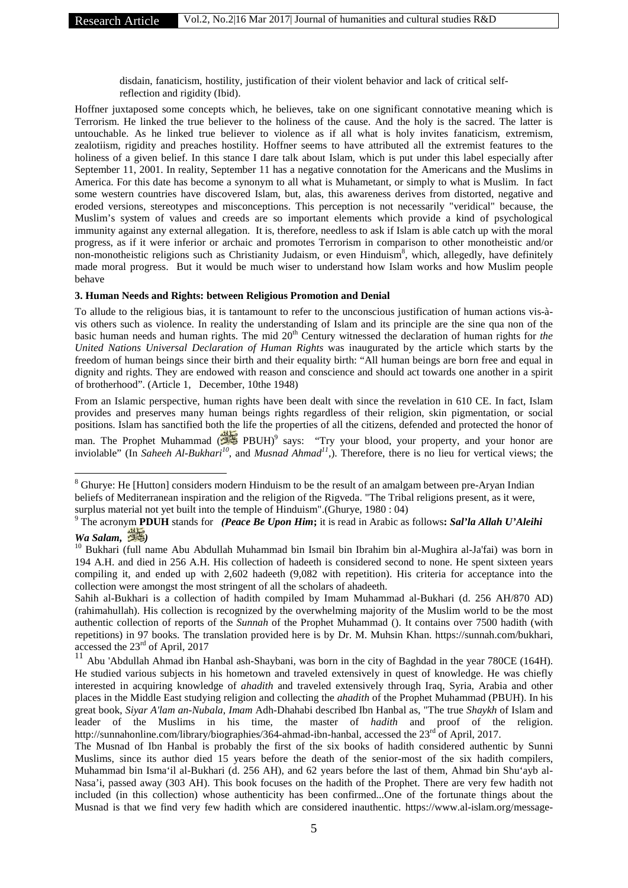disdain, fanaticism, hostility, justification of their violent behavior and lack of critical selfreflection and rigidity (Ibid).

Hoffner juxtaposed some concepts which, he believes, take on one significant connotative meaning which is Terrorism. He linked the true believer to the holiness of the cause. And the holy is the sacred. The latter is untouchable. As he linked true believer to violence as if all what is holy invites fanaticism, extremism, zealotiism, rigidity and preaches hostility. Hoffner seems to have attributed all the extremist features to the holiness of a given belief. In this stance I dare talk about Islam, which is put under this label especially after September 11, 2001. In reality, September 11 has a negative connotation for the Americans and the Muslims in America. For this date has become a synonym to all what is Muhametant, or simply to what is Muslim. In fact some western countries have discovered Islam, but, alas, this awareness derives from distorted, negative and eroded versions, stereotypes and misconceptions. This perception is not necessarily "veridical" because, the Muslim's system of values and creeds are so important elements which provide a kind of psychological immunity against any external allegation. It is, therefore, needless to ask if Islam is able catch up with the moral progress, as if it were inferior or archaic and promotes Terrorism in comparison to other monotheistic and/or non-monotheistic religions such as Christianity Judaism, or even Hinduism<sup>8</sup>, which, allegedly, have definitely made moral progress. But it would be much wiser to understand how Islam works and how Muslim people behave

# **3. Human Needs and Rights: between Religious Promotion and Denial**

To allude to the religious bias, it is tantamount to refer to the unconscious justification of human actions vis-à vis others such as violence. In reality the understanding of Islam and its principle are the sine qua non of the basic human needs and human rights. The mid 20<sup>th</sup> Century witnessed the declaration of human rights for *the United Nations Universal Declaration of Human Rights* was inaugurated by the article which starts by the freedom of human beings since their birth and their equality birth: "All human beings are born free and equal in dignity and rights. They are endowed with reason and conscience and should act towards one another in a spirit of brotherhood". (Article 1, December, 10the 1948)

From an Islamic perspective, human rights have been dealt with since the revelation in 610 CE. In fact, Islam provides and preserves many human beings rights regardless of their religion, skin pigmentation, or social positions. Islam has sanctified both the life the properties of all the citizens, defended and protected the honor of man. The Prophet Muhammad ( $\frac{1}{\sqrt{2}}$  PBUH)<sup>9</sup> says: "Try your blood, your property, and your honor are inviolable" (In *Saheeh Al-Bukhari<sup>10</sup>*, and *Musnad Ahmad<sup>11</sup>*,). Therefore, there is no lieu for vertical views; the

<sup>&</sup>lt;sup>8</sup> Ghurve: He [Hutton] considers modern Hinduism to be the result of an amalgam between pre-Aryan Indian beliefs of Mediterranean inspiration and the religion of the Rigveda. "The Tribal religions present, as it were, surplus material not yet built into the temple of Hinduism".(Ghurye, 1980 : 04)

<sup>9</sup> The acronym **PDUH** stands for *(Peace Be Upon Him***;** it is read in Arabic as follows**:** *Sal'la Allah U'Aleihi Wa Salam, )*

<sup>&</sup>lt;sup>10</sup> Bukhari (full name Abu Abdullah Muhammad bin Ismail bin Ibrahim bin al-Mughira al-Ja'fai) was born in 194 A.H. and died in 256 A.H. His collection of hadeeth is considered second to none. He spent sixteen years compiling it, and ended up with 2,602 hadeeth (9,082 with repetition). His criteria for acceptance into the collection were amongst the most stringent of all the scholars of ahadeeth.

Sahih al-Bukhari is a collection of hadith compiled by Imam Muhammad al-Bukhari (d. 256 AH/870 AD) (rahimahullah). His collection is recognized by the overwhelming majority of the Muslim world to be the most authentic collection of reports of the *Sunnah* of the Prophet Muhammad (). It contains over 7500 hadith (with repetitions) in 97 books. The translation provided here is by Dr. M. Muhsin Khan. https://sunnah.com/bukhari, accessed the 23rd of April, 2017

<sup>11</sup> Abu 'Abdullah Ahmad ibn Hanbal ash-Shaybani, was born in the city of Baghdad in the year 780CE (164H). He studied various subjects in his hometown and traveled extensively in quest of knowledge. He was chiefly interested in acquiring knowledge of *ahadith* and traveled extensively through Iraq, Syria, Arabia and other places in the Middle East studying religion and collecting the *ahadith* of the Prophet Muhammad (PBUH). In his great book, *Siyar A'lam an-Nubala*, *Imam* Adh-Dhahabi described Ibn Hanbal as, "The true *Shaykh* of Islam and leader of the Muslims in his time, the master of *hadith* and proof of the religion. http://sunnahonline.com/library/biographies/364-ahmad-ibn-hanbal, accessed the 23<sup>rd</sup> of April, 2017.

The Musnad of Ibn Hanbal is probably the first of the six books of hadith considered authentic by Sunni Muslims, since its author died 15 years before the death of the senior-most of the six hadith compilers, Muhammad bin Isma'il al-Bukhari (d. 256 AH), and 62 years before the last of them, Ahmad bin Shu'ayb al- Nasa'i, passed away (303 AH). This book focuses on the hadith of the Prophet. There are very few hadith not included (in this collection) whose authenticity has been confirmed...One of the fortunate things about the Musnad is that we find very few hadith which are considered inauthentic. https://www.al-islam.org/message-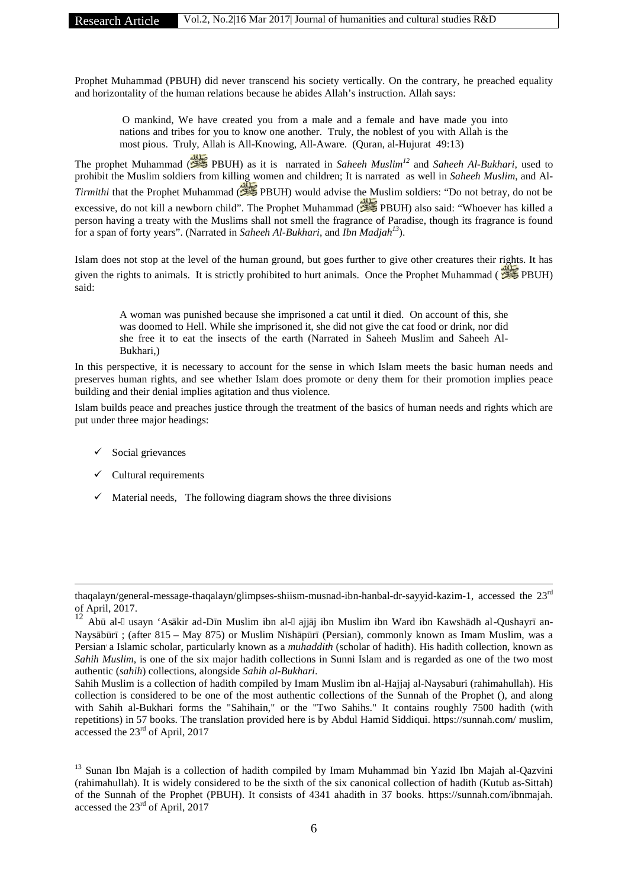Research Article Vol.2, No.2|16 Mar 2017| Journal of humanities and cultural studies R&D

Prophet Muhammad (PBUH) did never transcend his society vertically. On the contrary, he preached equality and horizontality of the human relations because he abides Allah's instruction. Allah says:

O mankind, We have created you from a male and a female and have made you into nations and tribes for you to know one another. Truly, the noblest of you with Allah is the most pious. Truly, Allah is All-Knowing, All-Aware. (Quran, al-Hujurat 49:13)

The prophet Muhammad ( PBUH) as it is narrated in *Saheeh Muslim<sup>12</sup>* and *Saheeh Al-Bukhari*, used to prohibit the Muslim soldiers from killing women and children; It is narrated as well in *Saheeh Muslim*, and Al*- Tirmithi* that the Prophet Muhammad (**PBUH**) would advise the Muslim soldiers: "Do not betray, do not be excessive, do not kill a newborn child". The Prophet Muhammad ( PBUH) also said: "Whoever has killed a person having a treaty with the Muslims shall not smell the fragrance of Paradise, though its fragrance is found for a span of forty years". (Narrated in *Saheeh Al-Bukhari*, and *Ibn Madjah<sup>13</sup>*).

Islam does not stop at the level of the human ground, but goes further to give other creatures their rights. It has given the rights to animals. It is strictly prohibited to hurt animals. Once the Prophet Muhammad ( PBUH) said:

A woman was punished because she imprisoned a cat until it died. On account of this, she was doomed to Hell. While she imprisoned it, she did not give the cat food or drink, nor did she free it to eat the insects of the earth (Narrated in Saheeh Muslim and Saheeh Al- Bukhari,)

In this perspective, it is necessary to account for the sense in which Islam meets the basic human needs and preserves human rights, and see whether Islam does promote or deny them for their promotion implies peace building and their denial implies agitation and thus violence*.*

Islam builds peace and preaches justice through the treatment of the basics of human needs and rights which are put under three major headings:

- $\checkmark$  Social grievances
- $\checkmark$  Cultural requirements
- $\checkmark$  Material needs, The following diagram shows the three divisions

thaqalayn/general-message-thaqalayn/glimpses-shiism-musnad-ibn-hanbal-dr-sayyid-kazim-1, accessed the 23rd of April, 2017.

 $12$ <sup>12</sup> Ab al- usayn 'As kir ad-D n Muslim ibn al- ajj j ibn Muslim ibn Ward ibn Kawsh dh al-Qushayr an-Nays b r; (after 815 – May 875) or Muslim N sh p r (Persian), commonly known as Imam Muslim, was a Persian a Islamic scholar, particularly known as a *muhaddith* (scholar of hadith). His hadith collection, known as *Sahih Muslim*, is one of the six major hadith collections in Sunni Islam and is regarded as one of the two most authentic (*sahih*) collections, alongside *Sahih al-Bukhari*.

Sahih Muslim is a collection of hadith compiled by Imam Muslim ibn al-Hajjaj al-Naysaburi (rahimahullah). His collection is considered to be one of the most authentic collections of the Sunnah of the Prophet (), and along with Sahih al-Bukhari forms the "Sahihain," or the "Two Sahihs." It contains roughly 7500 hadith (with repetitions) in 57 books. The translation provided here is by Abdul Hamid Siddiqui. https://sunnah.com/ muslim, accessed the 23rd of April, 2017

<sup>&</sup>lt;sup>13</sup> Sunan Ibn Majah is a collection of hadith compiled by Imam Muhammad bin Yazid Ibn Majah al-Qazvini (rahimahullah). It is widely considered to be the sixth of the six canonical collection of hadith (Kutub as-Sittah) of the Sunnah of the Prophet (PBUH). It consists of 4341 ahadith in 37 books. https://sunnah.com/ibnmajah. accessed the 23rd of April, 2017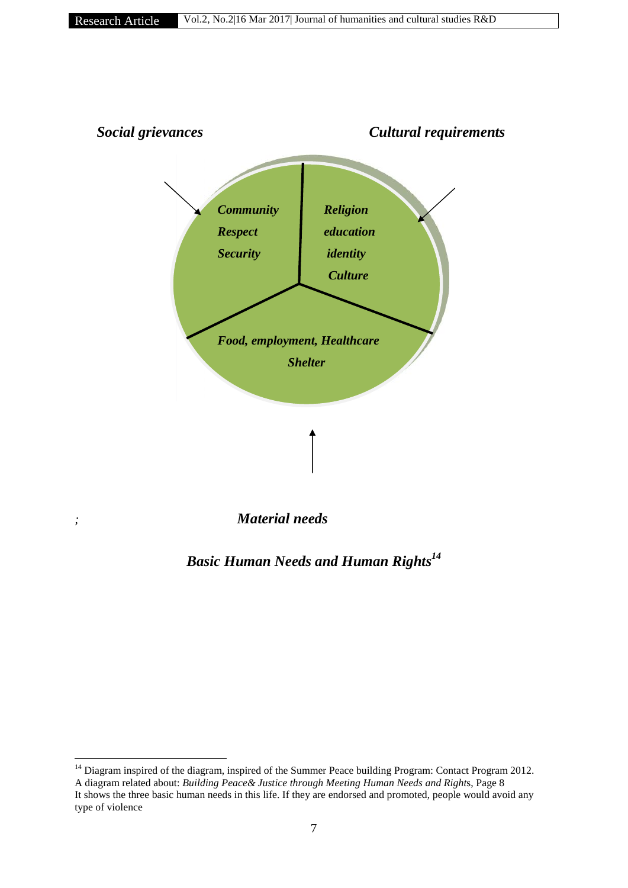

*Basic Human Needs and Human Rights<sup>14</sup>*

<sup>&</sup>lt;sup>14</sup> Diagram inspired of the diagram, inspired of the Summer Peace building Program: Contact Program 2012. A diagram related about: *Building Peace& Justice through Meeting Human Needs and Right*s, Page 8 It shows the three basic human needs in this life. If they are endorsed and promoted, people would avoid any type of violence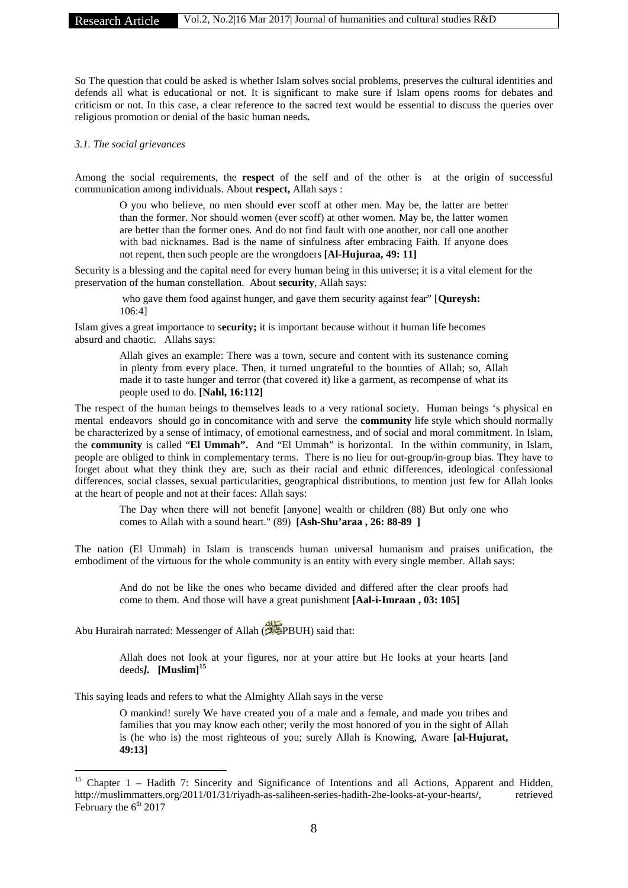So The question that could be asked is whether Islam solves social problems, preserves the cultural identities and defends all what is educational or not. It is significant to make sure if Islam opens rooms for debates and criticism or not. In this case, a clear reference to the sacred text would be essential to discuss the queries over religious promotion or denial of the basic human needs**.**

### *3.1. The social grievances*

Among the social requirements, the **respect** of the self and of the other is at the origin of successful communication among individuals. About **respect,** Allah says :

O you who believe, no men should ever scoff at other men. May be, the latter are better than the former. Nor should women (ever scoff) at other women. May be, the latter women are better than the former ones. And do not find fault with one another, nor call one another with bad nicknames. Bad is the name of sinfulness after embracing Faith. If anyone does not repent, then such people are the wrongdoers **[Al-Hujuraa, 49: 11]**

Security is a blessing and the capital need for every human being in this universe; it is a vital element for the preservation of the human constellation. About **security**, Allah says:

who gave them food against hunger, and gave them security against fear" [**Qureysh:** 106:4]

Islam gives a great importance to s**ecurity;** it is important because without it human life becomes absurd and chaotic. Allahs says:

> Allah gives an example: There was a town, secure and content with its sustenance coming in plenty from every place. Then, it turned ungrateful to the bounties of Allah; so, Allah made it to taste hunger and terror (that covered it) like a garment, as recompense of what its people used to do. **[Nahl, 16:112]**

The respect of the human beings to themselves leads to a very rational society. Human beings 's physical en mental endeavors should go in concomitance with and serve the **community** life style which should normally be characterized by a sense of intimacy, of emotional earnestness, and of social and moral commitment. In Islam, the **community** is called "**El Ummah".** And "El Ummah" is horizontal. In the within community, in Islam, people are obliged to think in complementary terms. There is no lieu for out-group/in-group bias. They have to forget about what they think they are, such as their racial and ethnic differences, ideological confessional differences, social classes, sexual particularities, geographical distributions, to mention just few for Allah looks at the heart of people and not at their faces: Allah says:

The Day when there will not benefit [anyone] wealth or children (88) But only one who comes to Allah with a sound heart." (89) **[Ash-Shu'araa , 26: 88-89 ]**

The nation (El Ummah) in Islam is transcends human universal humanism and praises unification, the embodiment of the virtuous for the whole community is an entity with every single member. Allah says:

And do not be like the ones who became divided and differed after the clear proofs had come to them. And those will have a great punishment **[Aal-i-Imraan , 03: 105]**

Abu Hurairah narrated: Messenger of Allah ( $\mathcal{L}$ PBUH) said that:

Allah does not look at your figures, nor at your attire but He looks at your hearts [and deeds*].* **[Muslim]<sup>15</sup>**

This saying leads and refers to what the Almighty Allah says in the verse

O mankind! surely We have created you of a male and a female, and made you tribes and families that you may know each other; verily the most honored of you in the sight of Allah is (he who is) the most righteous of you; surely Allah is Knowing, Aware **[al-Hujurat, 49:13]**

<sup>&</sup>lt;sup>15</sup> Chapter 1 – Hadith 7: Sincerity and Significance of Intentions and all Actions, Apparent and Hidden, http://muslimmatters.org/2011/01/31/riyadh-as-saliheen-series-hadith-2he-looks-at-your-hearts**/**, retrieved February the  $6<sup>th</sup> 2017$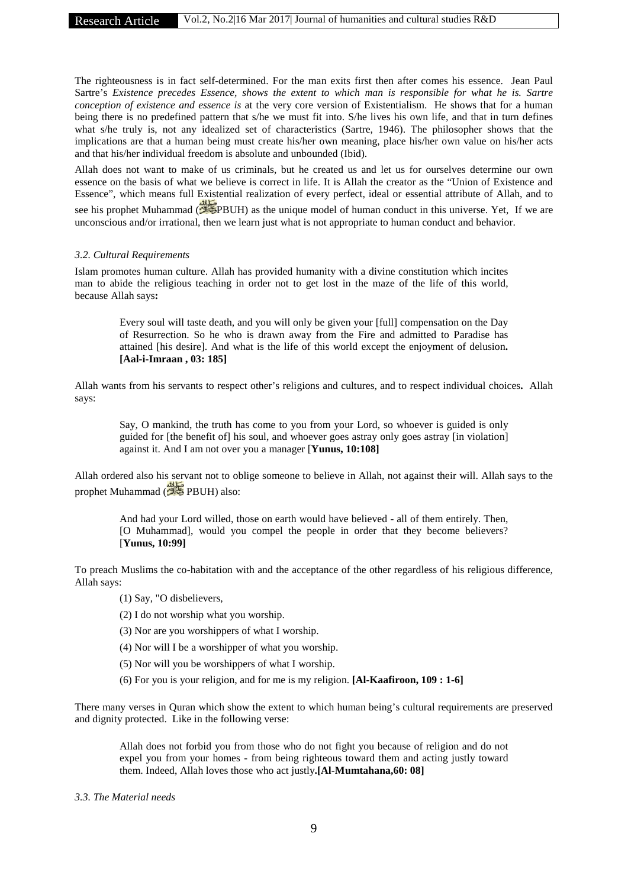The righteousness is in fact self-determined. For the man exits first then after comes his essence. Jean Paul Sartre's *Existence precedes Essence, shows the extent to which man is responsible for what he is. Sartre conception of existence and essence is* at the very core version of Existentialism. He shows that for a human being there is no predefined pattern that s/he we must fit into. S/he lives his own life, and that in turn defines what s/he truly is, not any idealized set of characteristics (Sartre, 1946). The philosopher shows that the implications are that a human being must create his/her own meaning, place his/her own value on his/her acts and that his/her individual freedom is absolute and unbounded (Ibid).

Allah does not want to make of us criminals, but he created us and let us for ourselves determine our own essence on the basis of what we believe is correct in life. It is Allah the creator as the "Union of Existence and Essence", which means full Existential realization of every perfect, ideal or essential attribute of Allah, and to see his prophet Muhammad ( PBUH) as the unique model of human conduct in this universe. Yet, If we are unconscious and/or irrational, then we learn just what is not appropriate to human conduct and behavior.

#### *3.2. Cultural Requirements*

Islam promotes human culture. Allah has provided humanity with a divine constitution which incites man to abide the religious teaching in order not to get lost in the maze of the life of this world, because Allah says**:**

> Every soul will taste death, and you will only be given your [full] compensation on the Day of Resurrection. So he who is drawn away from the Fire and admitted to Paradise has attained [his desire]. And what is the life of this world except the enjoyment of delusion**. [Aal-i-Imraan , 03: 185]**

Allah wants from his servants to respect other's religions and cultures, and to respect individual choices**.** Allah says:

Say, O mankind, the truth has come to you from your Lord, so whoever is guided is only guided for [the benefit of] his soul, and whoever goes astray only goes astray [in violation] against it. And I am not over you a manager [**Yunus, 10:108]**

Allah ordered also his servant not to oblige someone to believe in Allah, not against their will. Allah says to the prophet Muhammad (*PME* PBUH) also:

And had your Lord willed, those on earth would have believed - all of them entirely. Then, [O Muhammad], would you compel the people in order that they become believers? [**Yunus, 10:99]**

To preach Muslims the co-habitation with and the acceptance of the other regardless of his religious difference, Allah says:

- (1) Say, "O disbelievers,
- (2) I do not worship what you worship.
- (3) Nor are you worshippers of what I worship.
- (4) Nor will I be a worshipper of what you worship.
- (5) Nor will you be worshippers of what I worship.
- (6) For you is your religion, and for me is my religion. **[Al-Kaafiroon, 109 : 1-6]**

There many verses in Quran which show the extent to which human being's cultural requirements are preserved and dignity protected. Like in the following verse:

Allah does not forbid you from those who do not fight you because of religion and do not expel you from your homes - from being righteous toward them and acting justly toward them. Indeed, Allah loves those who act justly**.[Al-Mumtahana,60: 08]**

#### *3.3. The Material needs*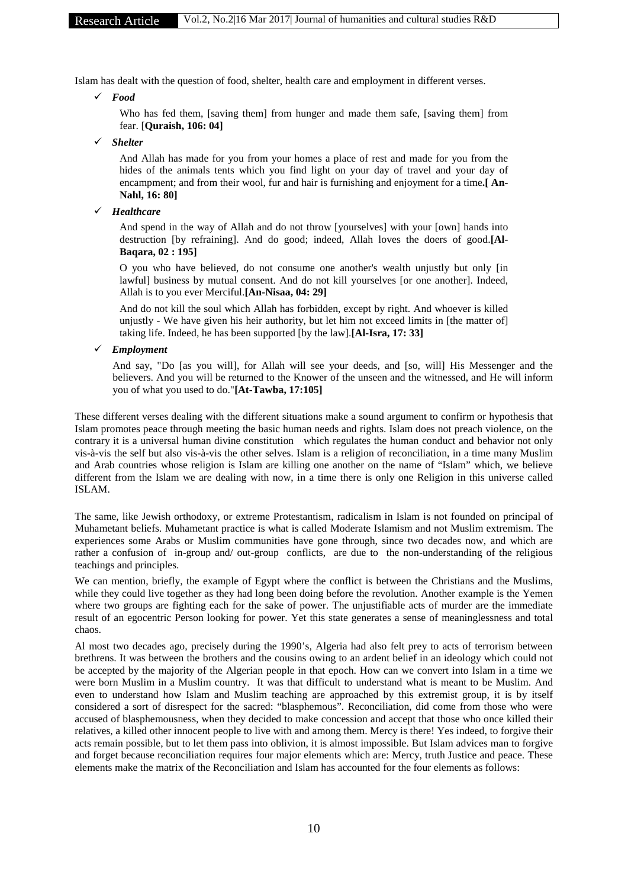Islam has dealt with the question of food, shelter, health care and employment in different verses.

*Food*

Who has fed them, [saving them] from hunger and made them safe, [saving them] from fear. [**Quraish, 106: 04]**

*Shelter*

And Allah has made for you from your homes a place of rest and made for you from the hides of the animals tents which you find light on your day of travel and your day of encampment; and from their wool, fur and hair is furnishing and enjoyment for a time**.[ An- Nahl, 16: 80]**

*Healthcare*

And spend in the way of Allah and do not throw [yourselves] with your [own] hands into destruction [by refraining]. And do good; indeed, Allah loves the doers of good.**[Al- Baqara, 02 : 195]**

O you who have believed, do not consume one another's wealth unjustly but only [in lawful] business by mutual consent. And do not kill yourselves [or one another]. Indeed, Allah is to you ever Merciful.**[An-Nisaa, 04: 29]**

And do not kill the soul which Allah has forbidden, except by right. And whoever is killed unjustly - We have given his heir authority, but let him not exceed limits in [the matter of] taking life. Indeed, he has been supported [by the law].**[Al-Isra, 17: 33]**

*Employment*

And say, "Do [as you will], for Allah will see your deeds, and [so, will] His Messenger and the believers. And you will be returned to the Knower of the unseen and the witnessed, and He will inform you of what you used to do."**[At-Tawba, 17:105]**

These different verses dealing with the different situations make a sound argument to confirm or hypothesis that Islam promotes peace through meeting the basic human needs and rights. Islam does not preach violence, on the contrary it is a universal human divine constitution which regulates the human conduct and behavior not only vis-à-vis the self but also vis-à-vis the other selves. Islam is a religion of reconciliation, in a time many Muslim and Arab countries whose religion is Islam are killing one another on the name of "Islam" which, we believe different from the Islam we are dealing with now, in a time there is only one Religion in this universe called ISLAM.

The same, like Jewish orthodoxy, or extreme Protestantism, radicalism in Islam is not founded on principal of Muhametant beliefs. Muhametant practice is what is called Moderate Islamism and not Muslim extremism. The experiences some Arabs or Muslim communities have gone through, since two decades now, and which are rather a confusion of in-group and/ out-group conflicts, are due to the non-understanding of the religious teachings and principles.

We can mention, briefly, the example of Egypt where the conflict is between the Christians and the Muslims, while they could live together as they had long been doing before the revolution. Another example is the Yemen where two groups are fighting each for the sake of power. The unjustifiable acts of murder are the immediate result of an egocentric Person looking for power. Yet this state generates a sense of meaninglessness and total chaos.

Al most two decades ago, precisely during the 1990's, Algeria had also felt prey to acts of terrorism between brethrens. It was between the brothers and the cousins owing to an ardent belief in an ideology which could not be accepted by the majority of the Algerian people in that epoch. How can we convert into Islam in a time we were born Muslim in a Muslim country. It was that difficult to understand what is meant to be Muslim. And even to understand how Islam and Muslim teaching are approached by this extremist group, it is by itself considered a sort of disrespect for the sacred: "blasphemous". Reconciliation, did come from those who were accused of blasphemousness, when they decided to make concession and accept that those who once killed their relatives, a killed other innocent people to live with and among them. Mercy is there! Yes indeed, to forgive their acts remain possible, but to let them pass into oblivion, it is almost impossible. But Islam advices man to forgive and forget because reconciliation requires four major elements which are: Mercy, truth Justice and peace. These elements make the matrix of the Reconciliation and Islam has accounted for the four elements as follows: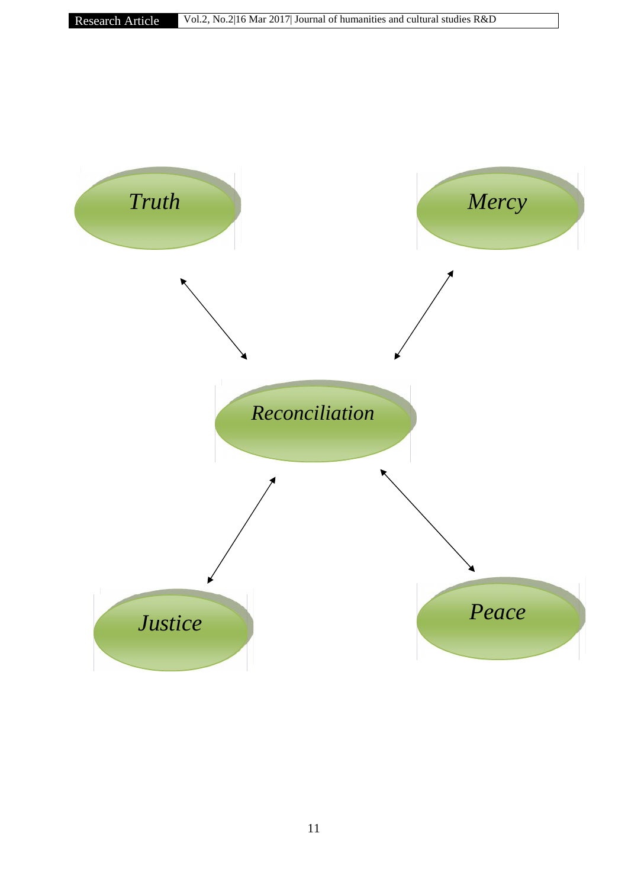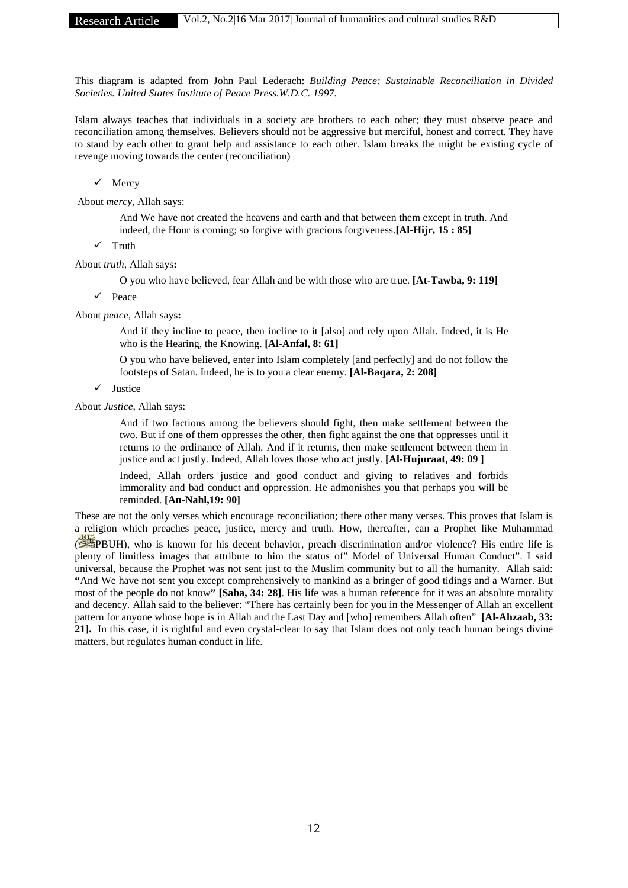This diagram is adapted from John Paul Lederach: *Building Peace: Sustainable Reconciliation in Divided Societies. United States Institute of Peace Press.W.D.C. 1997.*

Islam always teaches that individuals in a society are brothers to each other; they must observe peace and reconciliation among themselves. Believers should not be aggressive but merciful, honest and correct. They have to stand by each other to grant help and assistance to each other. Islam breaks the might be existing cycle of revenge moving towards the center (reconciliation)

 $\checkmark$  Mercy

About *mercy*, Allah says:

And We have not created the heavens and earth and that between them except in truth. And indeed, the Hour is coming; so forgive with gracious forgiveness.**[Al-Hijr, 15 : 85]**

 $\checkmark$  Truth

About *truth*, Allah says**:**

O you who have believed, fear Allah and be with those who are true. **[At-Tawba, 9: 119]**

Peace

About *peace*, Allah says**:**

And if they incline to peace, then incline to it [also] and rely upon Allah. Indeed, it is He who is the Hearing, the Knowing. **[Al-Anfal, 8: 61]**

O you who have believed, enter into Islam completely [and perfectly] and do not follow the footsteps of Satan. Indeed, he is to you a clear enemy. **[Al-Baqara, 2: 208]**

 $\checkmark$  Justice

About *Justice,* Allah says:

And if two factions among the believers should fight, then make settlement between the two. But if one of them oppresses the other, then fight against the one that oppresses until it returns to the ordinance of Allah. And if it returns, then make settlement between them in justice and act justly. Indeed, Allah loves those who act justly. **[Al-Hujuraat, 49: 09 ]**

Indeed, Allah orders justice and good conduct and giving to relatives and forbids immorality and bad conduct and oppression. He admonishes you that perhaps you will be reminded. **[An-Nahl,19: 90]**

These are not the only verses which encourage reconciliation; there other many verses. This proves that Islam is a religion which preaches peace, justice, mercy and truth. How, thereafter, can a Prophet like Muhammad ( PBUH), who is known for his decent behavior, preach discrimination and/or violence? His entire life is plenty of limitless images that attribute to him the status of" Model of Universal Human Conduct". I said universal, because the Prophet was not sent just to the Muslim community but to all the humanity. Allah said: **"**And We have not sent you except comprehensively to mankind as a bringer of good tidings and a Warner. But most of the people do not know**" [Saba, 34: 28]**. His life was a human reference for it was an absolute morality and decency. Allah said to the believer: "There has certainly been for you in the Messenger of Allah an excellent pattern for anyone whose hope is in Allah and the Last Day and [who] remembers Allah often" **[Al-Ahzaab, 33: 21].** In this case, it is rightful and even crystal-clear to say that Islam does not only teach human beings divine matters, but regulates human conduct in life.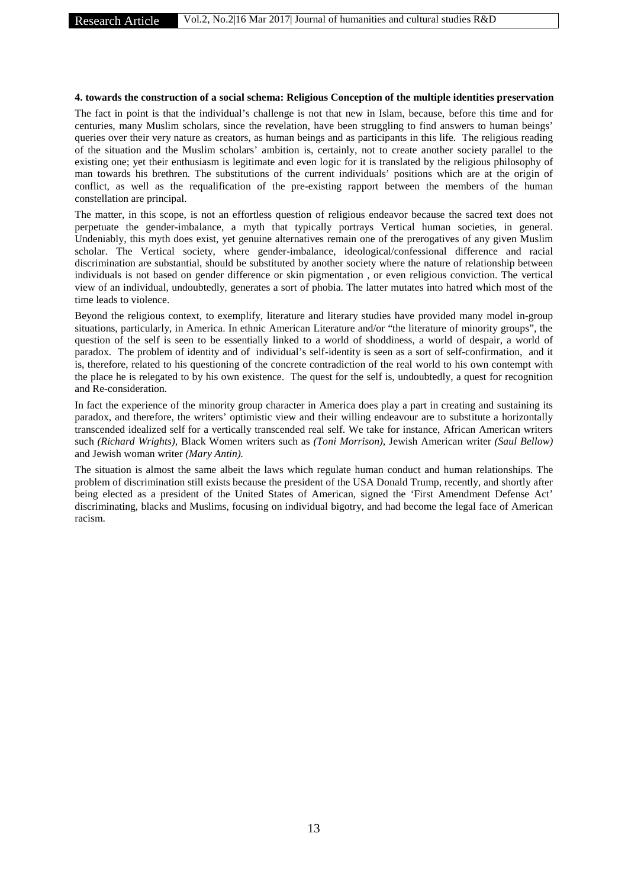### **4. towards the construction of a social schema: Religious Conception of the multiple identities preservation**

The fact in point is that the individual's challenge is not that new in Islam, because, before this time and for centuries, many Muslim scholars, since the revelation, have been struggling to find answers to human beings' queries over their very nature as creators, as human beings and as participants in this life. The religious reading of the situation and the Muslim scholars' ambition is, certainly, not to create another society parallel to the existing one; yet their enthusiasm is legitimate and even logic for it is translated by the religious philosophy of man towards his brethren. The substitutions of the current individuals' positions which are at the origin of conflict, as well as the requalification of the pre-existing rapport between the members of the human constellation are principal.

The matter, in this scope, is not an effortless question of religious endeavor because the sacred text does not perpetuate the gender-imbalance, a myth that typically portrays Vertical human societies, in general. Undeniably, this myth does exist, yet genuine alternatives remain one of the prerogatives of any given Muslim scholar. The Vertical society, where gender-imbalance, ideological/confessional difference and racial discrimination are substantial, should be substituted by another society where the nature of relationship between individuals is not based on gender difference or skin pigmentation , or even religious conviction. The vertical view of an individual, undoubtedly, generates a sort of phobia. The latter mutates into hatred which most of the time leads to violence.

Beyond the religious context, to exemplify, literature and literary studies have provided many model in-group situations, particularly, in America. In ethnic American Literature and/or "the literature of minority groups", the question of the self is seen to be essentially linked to a world of shoddiness, a world of despair, a world of paradox. The problem of identity and of individual's self-identity is seen as a sort of self-confirmation, and it is, therefore, related to his questioning of the concrete contradiction of the real world to his own contempt with the place he is relegated to by his own existence. The quest for the self is, undoubtedly, a quest for recognition and Re-consideration.

In fact the experience of the minority group character in America does play a part in creating and sustaining its paradox, and therefore, the writers' optimistic view and their willing endeavour are to substitute a horizontally transcended idealized self for a vertically transcended real self. We take for instance, African American writers such *(Richard Wrights),* Black Women writers such as *(Toni Morrison),* Jewish American writer *(Saul Bellow)* and Jewish woman writer *(Mary Antin).*

The situation is almost the same albeit the laws which regulate human conduct and human relationships. The problem of discrimination still exists because the president of the USA Donald Trump, recently, and shortly after being elected as a president of the United States of American, signed the 'First Amendment Defense Act' discriminating, blacks and Muslims, focusing on individual bigotry, and had become the legal face of American racism.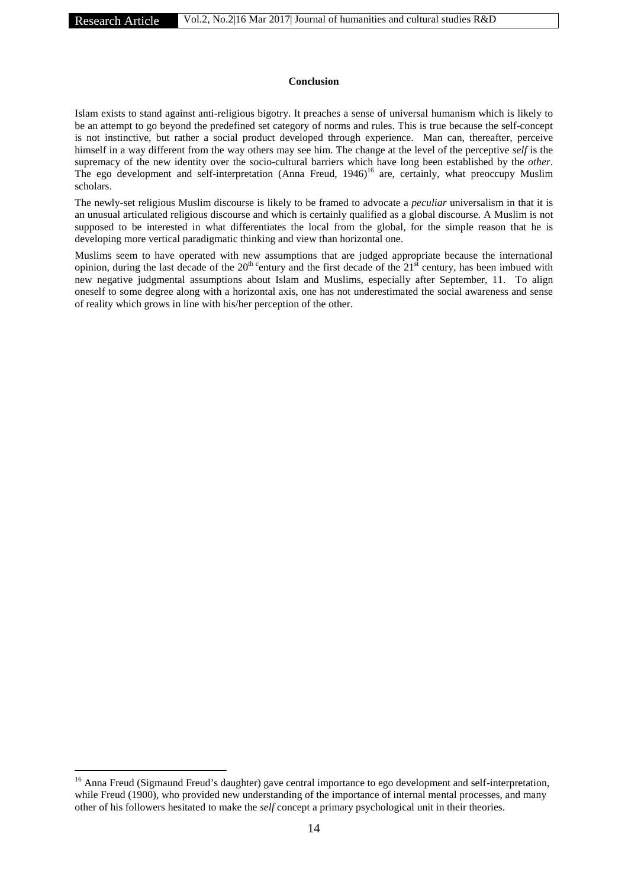#### **Conclusion**

Islam exists to stand against anti-religious bigotry. It preaches a sense of universal humanism which is likely to be an attempt to go beyond the predefined set category of norms and rules. This is true because the self-concept is not instinctive, but rather a social product developed through experience. Man can, thereafter, perceive himself in a way different from the way others may see him. The change at the level of the perceptive *self* is the supremacy of the new identity over the socio-cultural barriers which have long been established by the *other*. The ego development and self-interpretation (Anna Freud, 1946)<sup>16</sup> are, certainly, what preoccupy Muslim scholars.

The newly-set religious Muslim discourse is likely to be framed to advocate a *peculiar* universalism in that it is an unusual articulated religious discourse and which is certainly qualified as a global discourse. A Muslim is not supposed to be interested in what differentiates the local from the global, for the simple reason that he is developing more vertical paradigmatic thinking and view than horizontal one.

Muslims seem to have operated with new assumptions that are judged appropriate because the international opinion, during the last decade of the  $20<sup>th</sup>$  century and the first decade of the  $21<sup>st</sup>$  century, has been imbued with new negative judgmental assumptions about Islam and Muslims, especially after September, 11. To align oneself to some degree along with a horizontal axis, one has not underestimated the social awareness and sense of reality which grows in line with his/her perception of the other.

<sup>&</sup>lt;sup>16</sup> Anna Freud (Sigmaund Freud's daughter) gave central importance to ego development and self-interpretation, while Freud (1900), who provided new understanding of the importance of internal mental processes, and many other of his followers hesitated to make the *self* concept a primary psychological unit in their theories.